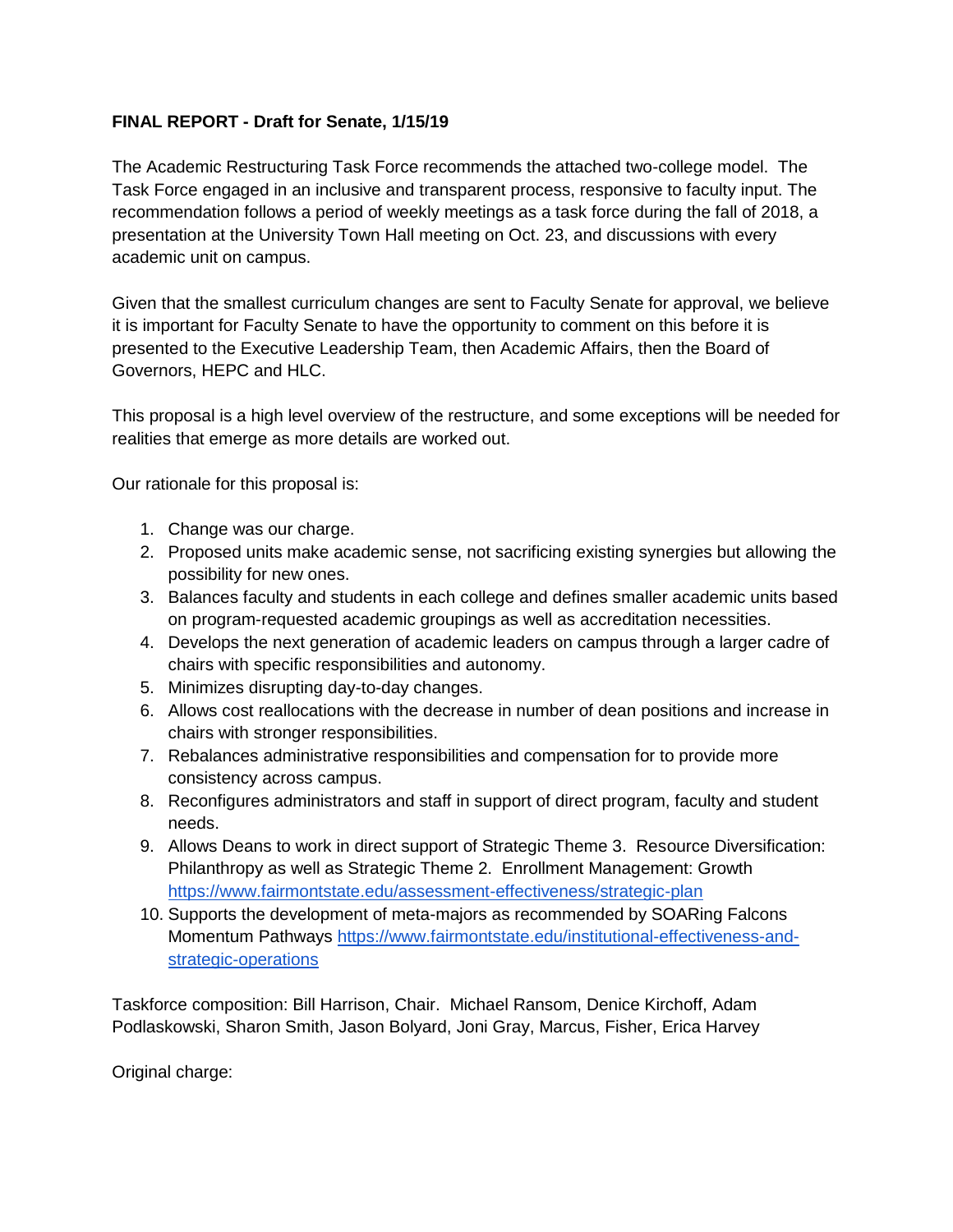#### **FINAL REPORT - Draft for Senate, 1/15/19**

The Academic Restructuring Task Force recommends the attached two-college model. The Task Force engaged in an inclusive and transparent process, responsive to faculty input. The recommendation follows a period of weekly meetings as a task force during the fall of 2018, a presentation at the University Town Hall meeting on Oct. 23, and discussions with every academic unit on campus.

Given that the smallest curriculum changes are sent to Faculty Senate for approval, we believe it is important for Faculty Senate to have the opportunity to comment on this before it is presented to the Executive Leadership Team, then Academic Affairs, then the Board of Governors, HEPC and HLC.

This proposal is a high level overview of the restructure, and some exceptions will be needed for realities that emerge as more details are worked out.

Our rationale for this proposal is:

- 1. Change was our charge.
- 2. Proposed units make academic sense, not sacrificing existing synergies but allowing the possibility for new ones.
- 3. Balances faculty and students in each college and defines smaller academic units based on program-requested academic groupings as well as accreditation necessities.
- 4. Develops the next generation of academic leaders on campus through a larger cadre of chairs with specific responsibilities and autonomy.
- 5. Minimizes disrupting day-to-day changes.
- 6. Allows cost reallocations with the decrease in number of dean positions and increase in chairs with stronger responsibilities.
- 7. Rebalances administrative responsibilities and compensation for to provide more consistency across campus.
- 8. Reconfigures administrators and staff in support of direct program, faculty and student needs.
- 9. Allows Deans to work in direct support of Strategic Theme 3. Resource Diversification: Philanthropy as well as Strategic Theme 2. Enrollment Management: Growth <https://www.fairmontstate.edu/assessment-effectiveness/strategic-plan>
- 10. Supports the development of meta-majors as recommended by SOARing Falcons Momentum Pathways [https://www.fairmontstate.edu/institutional-effectiveness-and](https://www.fairmontstate.edu/institutional-effectiveness-and-strategic-operations)[strategic-operations](https://www.fairmontstate.edu/institutional-effectiveness-and-strategic-operations)

Taskforce composition: Bill Harrison, Chair. Michael Ransom, Denice Kirchoff, Adam Podlaskowski, Sharon Smith, Jason Bolyard, Joni Gray, Marcus, Fisher, Erica Harvey

Original charge: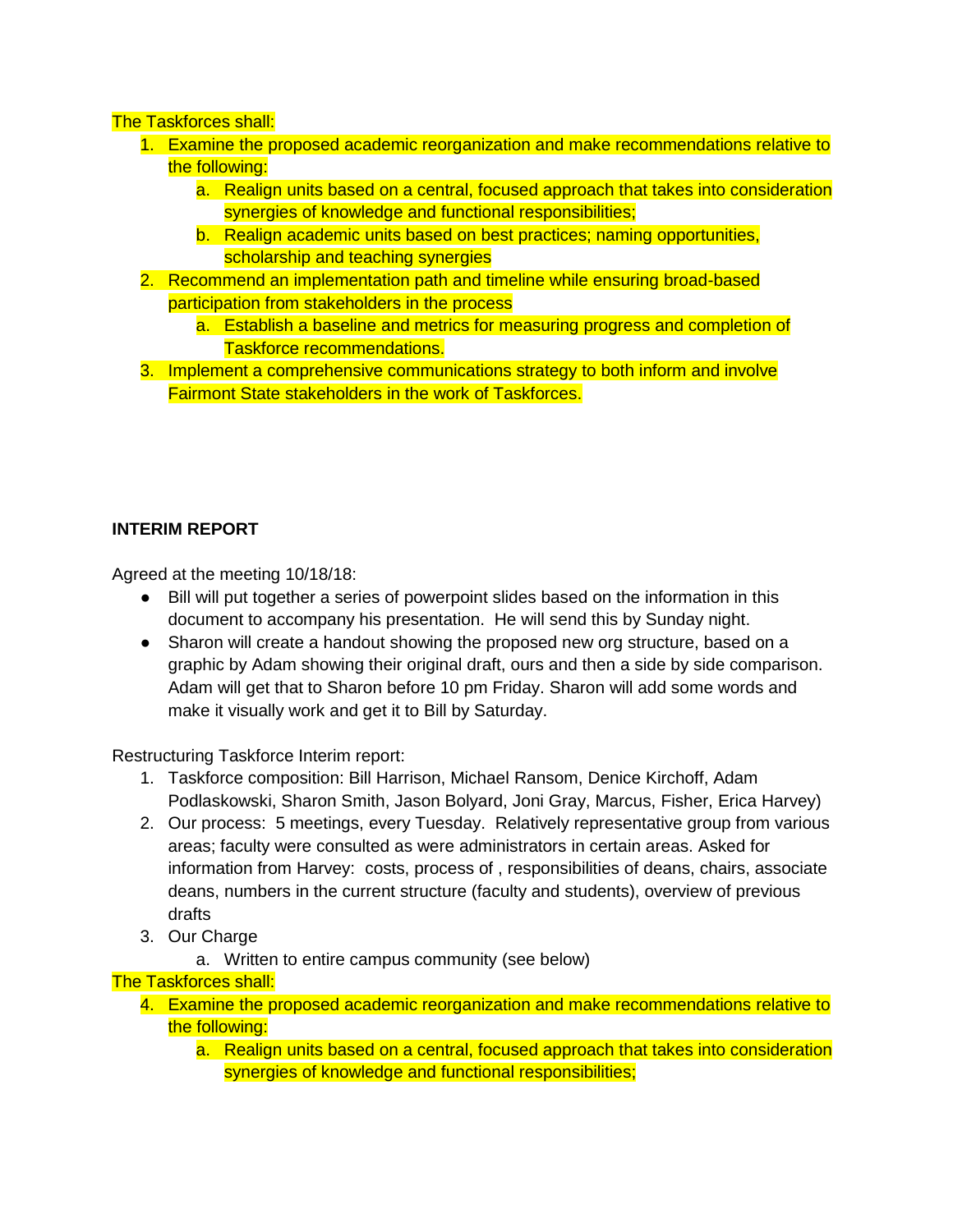#### The Taskforces shall:

- 1. Examine the proposed academic reorganization and make recommendations relative to the following:
	- a. Realign units based on a central, focused approach that takes into consideration synergies of knowledge and functional responsibilities;
	- b. Realign academic units based on best practices; naming opportunities, scholarship and teaching synergies
- 2. Recommend an implementation path and timeline while ensuring broad-based participation from stakeholders in the process
	- a. Establish a baseline and metrics for measuring progress and completion of Taskforce recommendations.
- 3. Implement a comprehensive communications strategy to both inform and involve Fairmont State stakeholders in the work of Taskforces.

### **INTERIM REPORT**

Agreed at the meeting 10/18/18:

- Bill will put together a series of powerpoint slides based on the information in this document to accompany his presentation. He will send this by Sunday night.
- Sharon will create a handout showing the proposed new org structure, based on a graphic by Adam showing their original draft, ours and then a side by side comparison. Adam will get that to Sharon before 10 pm Friday. Sharon will add some words and make it visually work and get it to Bill by Saturday.

Restructuring Taskforce Interim report:

- 1. Taskforce composition: Bill Harrison, Michael Ransom, Denice Kirchoff, Adam Podlaskowski, Sharon Smith, Jason Bolyard, Joni Gray, Marcus, Fisher, Erica Harvey)
- 2. Our process: 5 meetings, every Tuesday. Relatively representative group from various areas; faculty were consulted as were administrators in certain areas. Asked for information from Harvey: costs, process of , responsibilities of deans, chairs, associate deans, numbers in the current structure (faculty and students), overview of previous drafts
- 3. Our Charge
	- a. Written to entire campus community (see below)

The Taskforces shall:

- 4. Examine the proposed academic reorganization and make recommendations relative to the following:
	- a. Realign units based on a central, focused approach that takes into consideration synergies of knowledge and functional responsibilities;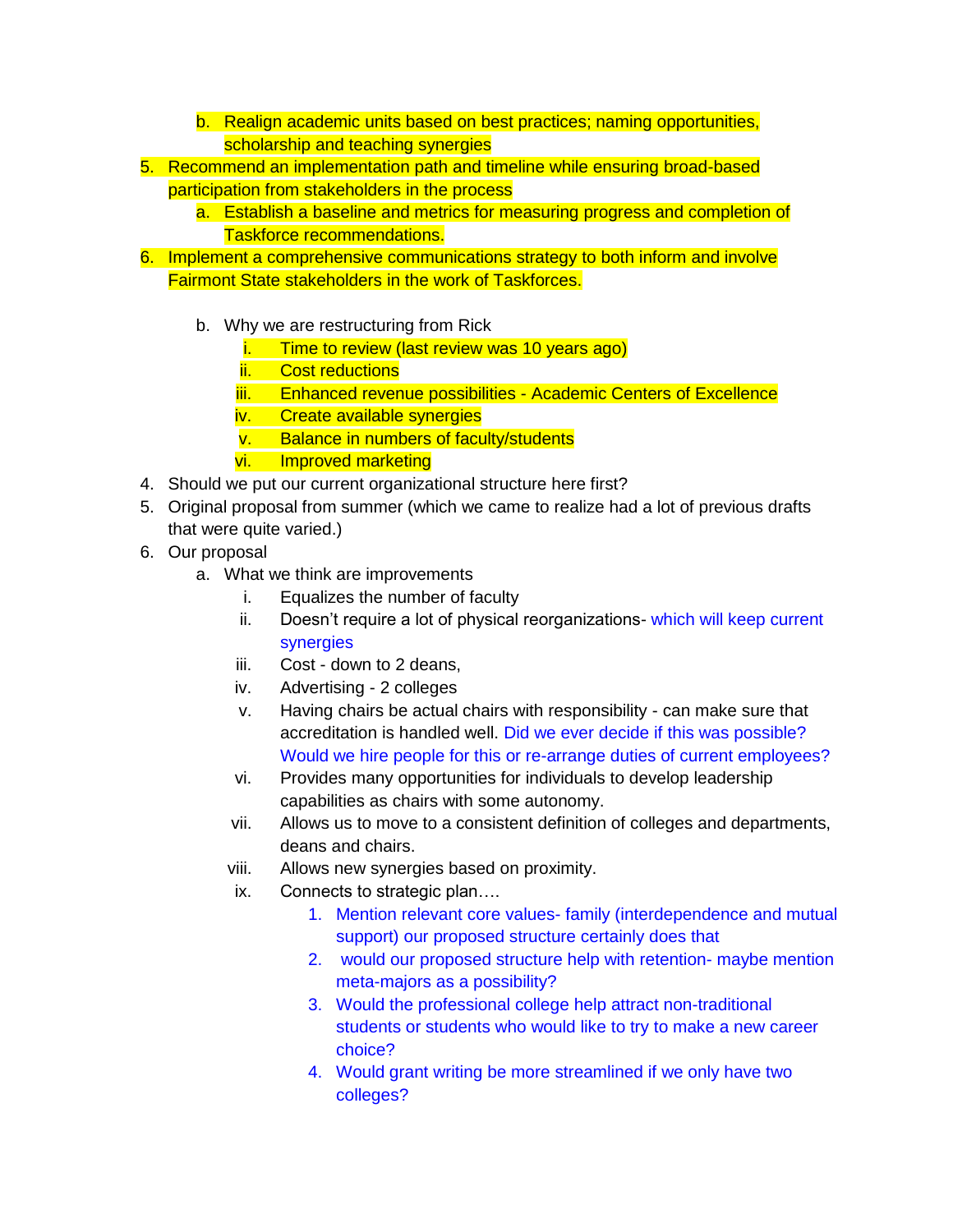- b. Realign academic units based on best practices; naming opportunities, scholarship and teaching synergies
- 5. Recommend an implementation path and timeline while ensuring broad-based participation from stakeholders in the process
	- a. Establish a baseline and metrics for measuring progress and completion of Taskforce recommendations.
- 6. Implement a comprehensive communications strategy to both inform and involve Fairmont State stakeholders in the work of Taskforces.
	- b. Why we are restructuring from Rick
		- i. Time to review (last review was 10 years ago)
		- ii. Cost reductions
		- iii. Enhanced revenue possibilities Academic Centers of Excellence
		- iv. Create available synergies
		- v. Balance in numbers of faculty/students
		- vi. Improved marketing
- 4. Should we put our current organizational structure here first?
- 5. Original proposal from summer (which we came to realize had a lot of previous drafts that were quite varied.)
- 6. Our proposal
	- a. What we think are improvements
		- i. Equalizes the number of faculty
		- ii. Doesn't require a lot of physical reorganizations- which will keep current synergies
		- iii. Cost down to 2 deans,
		- iv. Advertising 2 colleges
		- v. Having chairs be actual chairs with responsibility can make sure that accreditation is handled well. Did we ever decide if this was possible? Would we hire people for this or re-arrange duties of current employees?
		- vi. Provides many opportunities for individuals to develop leadership capabilities as chairs with some autonomy.
		- vii. Allows us to move to a consistent definition of colleges and departments, deans and chairs.
		- viii. Allows new synergies based on proximity.
		- ix. Connects to strategic plan….
			- 1. Mention relevant core values- family (interdependence and mutual support) our proposed structure certainly does that
			- 2. would our proposed structure help with retention- maybe mention meta-majors as a possibility?
			- 3. Would the professional college help attract non-traditional students or students who would like to try to make a new career choice?
			- 4. Would grant writing be more streamlined if we only have two colleges?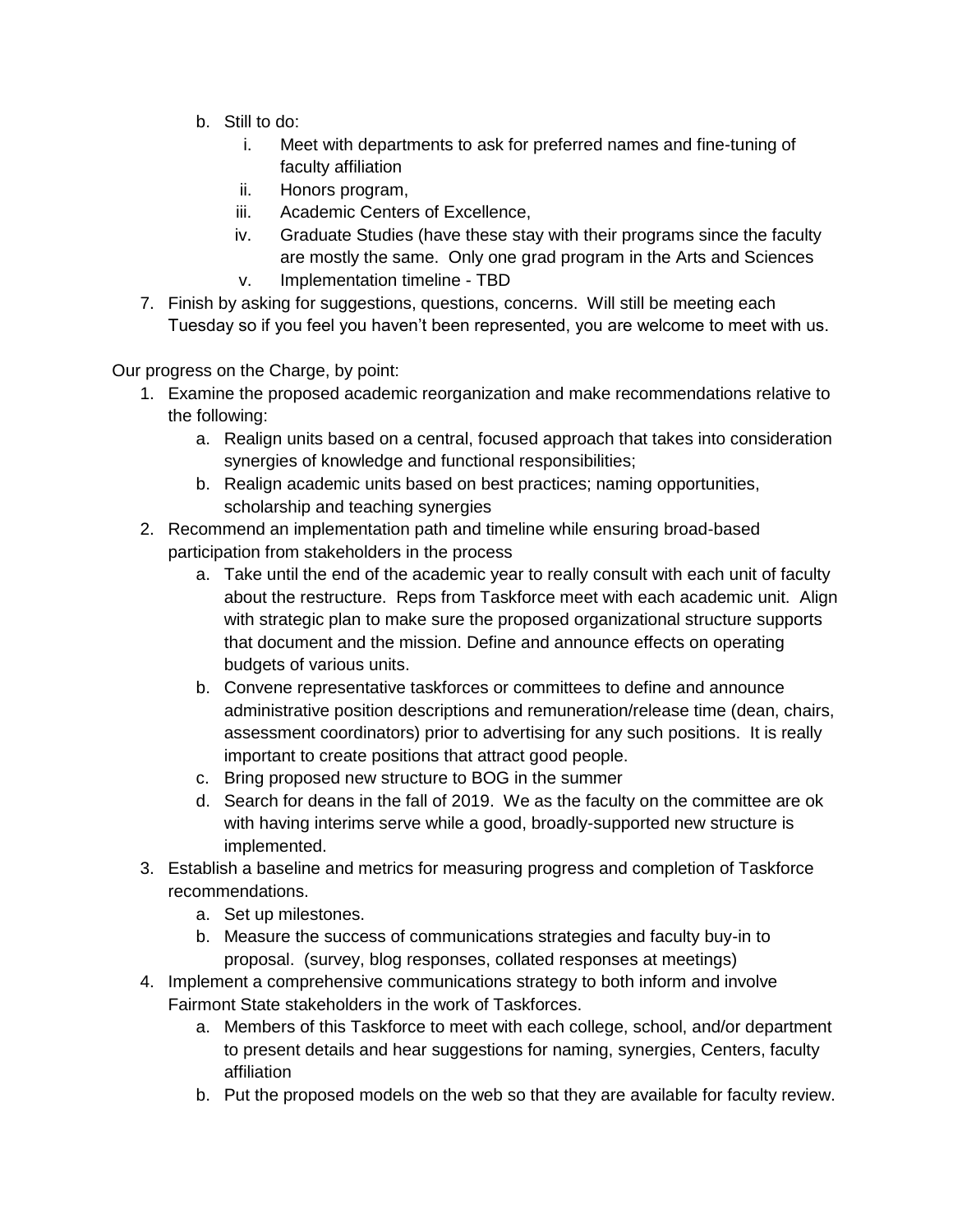- b. Still to do:
	- i. Meet with departments to ask for preferred names and fine-tuning of faculty affiliation
	- ii. Honors program,
	- iii. Academic Centers of Excellence,
	- iv. Graduate Studies (have these stay with their programs since the faculty are mostly the same. Only one grad program in the Arts and Sciences v. Implementation timeline - TBD
- 7. Finish by asking for suggestions, questions, concerns. Will still be meeting each Tuesday so if you feel you haven't been represented, you are welcome to meet with us.

Our progress on the Charge, by point:

- 1. Examine the proposed academic reorganization and make recommendations relative to the following:
	- a. Realign units based on a central, focused approach that takes into consideration synergies of knowledge and functional responsibilities;
	- b. Realign academic units based on best practices; naming opportunities, scholarship and teaching synergies
- 2. Recommend an implementation path and timeline while ensuring broad-based participation from stakeholders in the process
	- a. Take until the end of the academic year to really consult with each unit of faculty about the restructure. Reps from Taskforce meet with each academic unit. Align with strategic plan to make sure the proposed organizational structure supports that document and the mission. Define and announce effects on operating budgets of various units.
	- b. Convene representative taskforces or committees to define and announce administrative position descriptions and remuneration/release time (dean, chairs, assessment coordinators) prior to advertising for any such positions. It is really important to create positions that attract good people.
	- c. Bring proposed new structure to BOG in the summer
	- d. Search for deans in the fall of 2019. We as the faculty on the committee are ok with having interims serve while a good, broadly-supported new structure is implemented.
- 3. Establish a baseline and metrics for measuring progress and completion of Taskforce recommendations.
	- a. Set up milestones.
	- b. Measure the success of communications strategies and faculty buy-in to proposal. (survey, blog responses, collated responses at meetings)
- 4. Implement a comprehensive communications strategy to both inform and involve Fairmont State stakeholders in the work of Taskforces.
	- a. Members of this Taskforce to meet with each college, school, and/or department to present details and hear suggestions for naming, synergies, Centers, faculty affiliation
	- b. Put the proposed models on the web so that they are available for faculty review.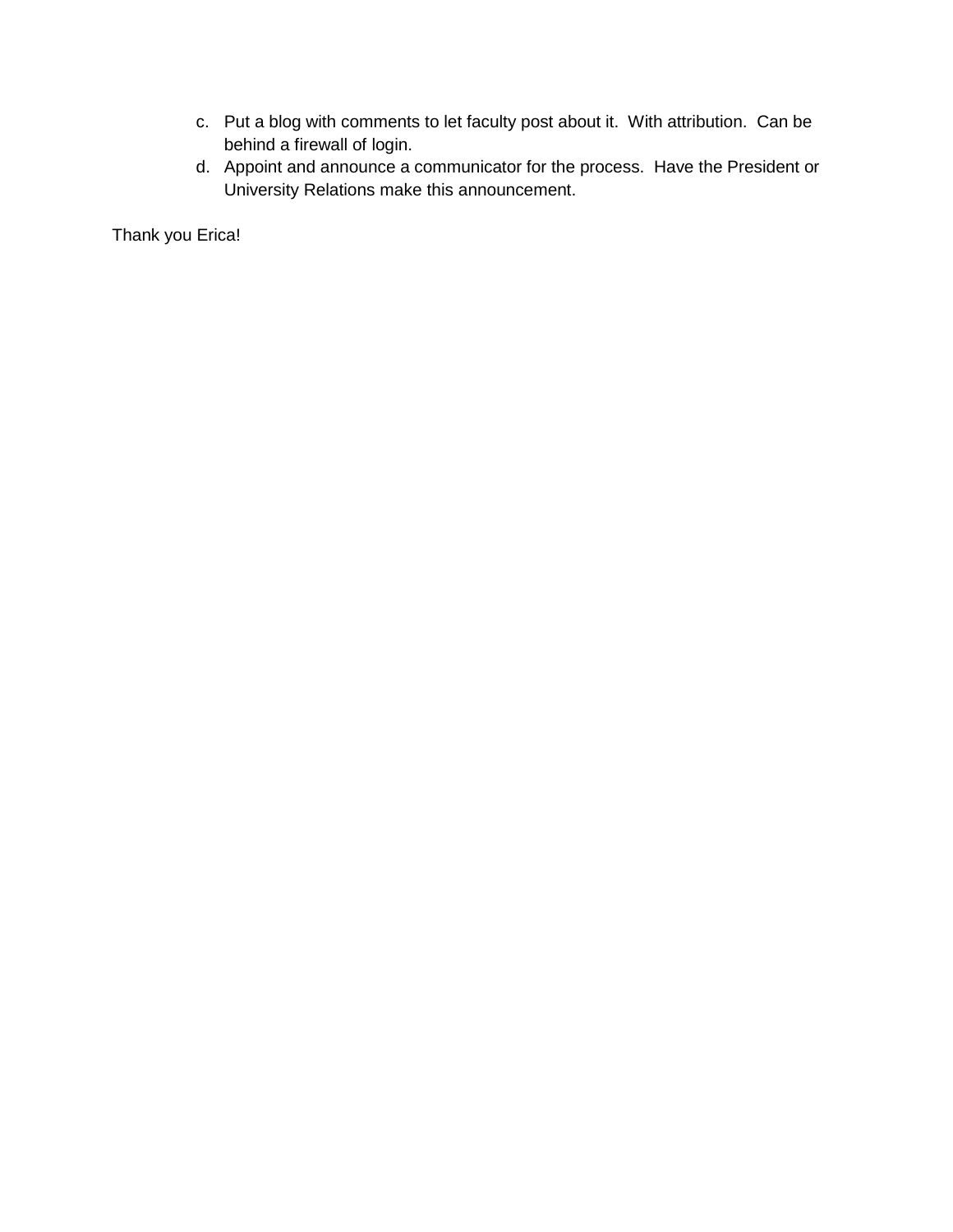- c. Put a blog with comments to let faculty post about it. With attribution. Can be behind a firewall of login.
- d. Appoint and announce a communicator for the process. Have the President or University Relations make this announcement.

Thank you Erica!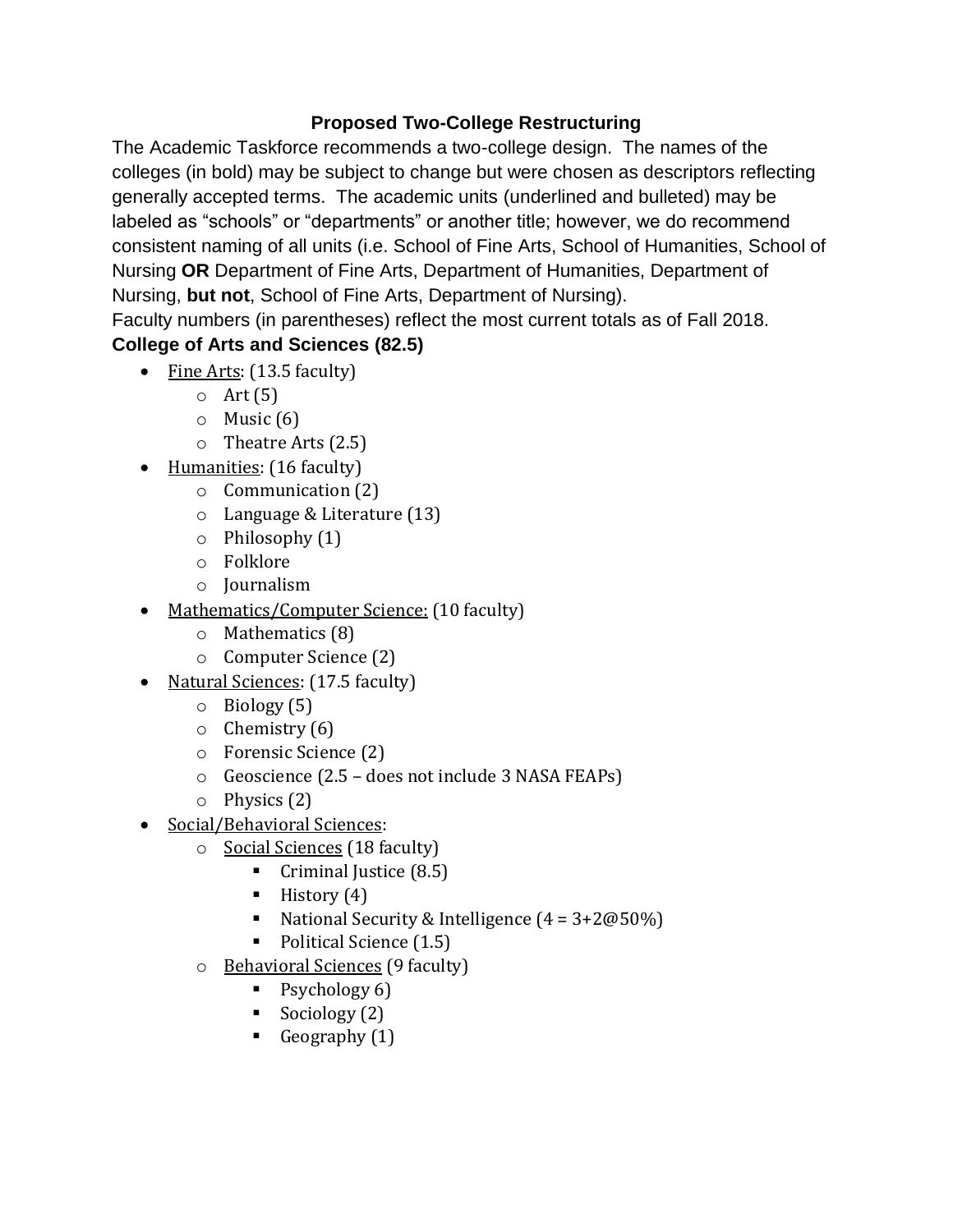## **Proposed Two-College Restructuring**

The Academic Taskforce recommends a two-college design. The names of the colleges (in bold) may be subject to change but were chosen as descriptors reflecting generally accepted terms. The academic units (underlined and bulleted) may be labeled as "schools" or "departments" or another title; however, we do recommend consistent naming of all units (i.e. School of Fine Arts, School of Humanities, School of Nursing **OR** Department of Fine Arts, Department of Humanities, Department of Nursing, **but not**, School of Fine Arts, Department of Nursing).

Faculty numbers (in parentheses) reflect the most current totals as of Fall 2018.

# **College of Arts and Sciences (82.5)**

- Fine Arts: (13.5 faculty)
	- $\circ$  Art (5)
	- $\circ$  Music (6)
	- o Theatre Arts (2.5)
- Humanities: (16 faculty)
	- o Communication (2)
	- o Language & Literature (13)
	- o Philosophy (1)
	- o Folklore
	- o Journalism
- Mathematics/Computer Science: (10 faculty)
	- o Mathematics (8)
	- o Computer Science (2)
- Natural Sciences: (17.5 faculty)
	- o Biology (5)
	- $\circ$  Chemistry (6)
	- o Forensic Science (2)
	- o Geoscience (2.5 does not include 3 NASA FEAPs)
	- o Physics (2)
- Social/Behavioral Sciences:
	- o Social Sciences (18 faculty)
		- Criminal Justice (8.5)
		- $\blacksquare$  History (4)
		- National Security & Intelligence  $(4 = 3 + 2@50\%)$
		- Political Science (1.5)
	- o Behavioral Sciences (9 faculty)
		- Psychology 6)
		- Sociology  $(2)$
		- Geography  $(1)$